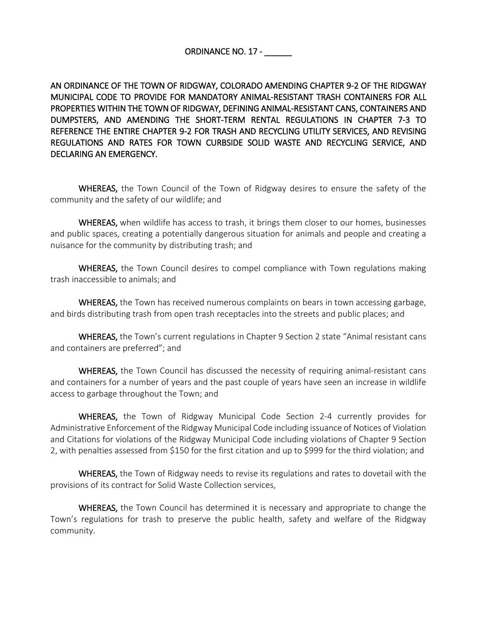AN ORDINANCE OF THE TOWN OF RIDGWAY, COLORADO AMENDING CHAPTER 9-2 OF THE RIDGWAY MUNICIPAL CODE TO PROVIDE FOR MANDATORY ANIMAL-RESISTANT TRASH CONTAINERS FOR ALL PROPERTIES WITHIN THE TOWN OF RIDGWAY, DEFINING ANIMAL-RESISTANT CANS, CONTAINERS AND DUMPSTERS, AND AMENDING THE SHORT-TERM RENTAL REGULATIONS IN CHAPTER 7-3 TO REFERENCE THE ENTIRE CHAPTER 9-2 FOR TRASH AND RECYCLING UTILITY SERVICES, AND REVISING REGULATIONS AND RATES FOR TOWN CURBSIDE SOLID WASTE AND RECYCLING SERVICE, AND DECLARING AN EMERGENCY.

WHEREAS, the Town Council of the Town of Ridgway desires to ensure the safety of the community and the safety of our wildlife; and

WHEREAS, when wildlife has access to trash, it brings them closer to our homes, businesses and public spaces, creating a potentially dangerous situation for animals and people and creating a nuisance for the community by distributing trash; and

WHEREAS, the Town Council desires to compel compliance with Town regulations making trash inaccessible to animals; and

WHEREAS, the Town has received numerous complaints on bears in town accessing garbage, and birds distributing trash from open trash receptacles into the streets and public places; and

WHEREAS, the Town's current regulations in Chapter 9 Section 2 state "Animal resistant cans and containers are preferred"; and

WHEREAS, the Town Council has discussed the necessity of requiring animal-resistant cans and containers for a number of years and the past couple of years have seen an increase in wildlife access to garbage throughout the Town; and

WHEREAS, the Town of Ridgway Municipal Code Section 2-4 currently provides for Administrative Enforcement of the Ridgway Municipal Code including issuance of Notices of Violation and Citations for violations of the Ridgway Municipal Code including violations of Chapter 9 Section 2, with penalties assessed from \$150 for the first citation and up to \$999 for the third violation; and

WHEREAS, the Town of Ridgway needs to revise its regulations and rates to dovetail with the provisions of its contract for Solid Waste Collection services,

WHEREAS, the Town Council has determined it is necessary and appropriate to change the Town's regulations for trash to preserve the public health, safety and welfare of the Ridgway community.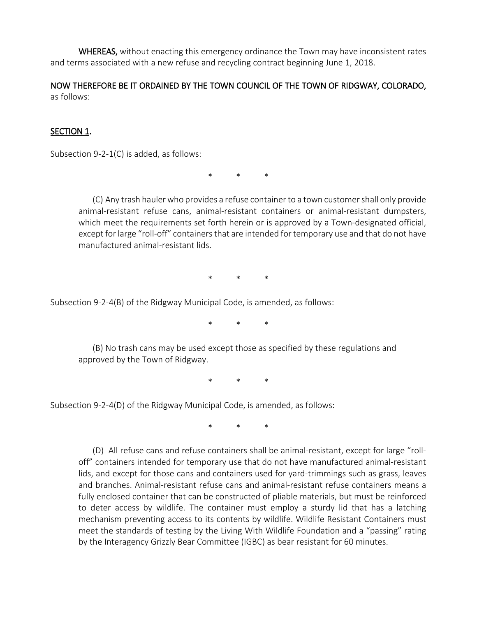WHEREAS, without enacting this emergency ordinance the Town may have inconsistent rates and terms associated with a new refuse and recycling contract beginning June 1, 2018.

NOW THEREFORE BE IT ORDAINED BY THE TOWN COUNCIL OF THE TOWN OF RIDGWAY, COLORADO, as follows:

### SECTION 1.

Subsection 9-2-1(C) is added, as follows:

\* \* \*

(C) Any trash hauler who provides a refuse container to a town customer shall only provide animal-resistant refuse cans, animal-resistant containers or animal-resistant dumpsters, which meet the requirements set forth herein or is approved by a Town-designated official, except for large "roll-off" containers that are intended for temporary use and that do not have manufactured animal-resistant lids.

\* \* \*

Subsection 9-2-4(B) of the Ridgway Municipal Code, is amended, as follows:

\* \* \*

(B) No trash cans may be used except those as specified by these regulations and approved by the Town of Ridgway.

\* \* \*

Subsection 9-2-4(D) of the Ridgway Municipal Code, is amended, as follows:

\* \* \*

(D) All refuse cans and refuse containers shall be animal-resistant, except for large "rolloff" containers intended for temporary use that do not have manufactured animal-resistant lids, and except for those cans and containers used for yard-trimmings such as grass, leaves and branches. Animal-resistant refuse cans and animal-resistant refuse containers means a fully enclosed container that can be constructed of pliable materials, but must be reinforced to deter access by wildlife. The container must employ a sturdy lid that has a latching mechanism preventing access to its contents by wildlife. Wildlife Resistant Containers must meet the standards of testing by the Living With Wildlife Foundation and a "passing" rating by the Interagency Grizzly Bear Committee (IGBC) as bear resistant for 60 minutes.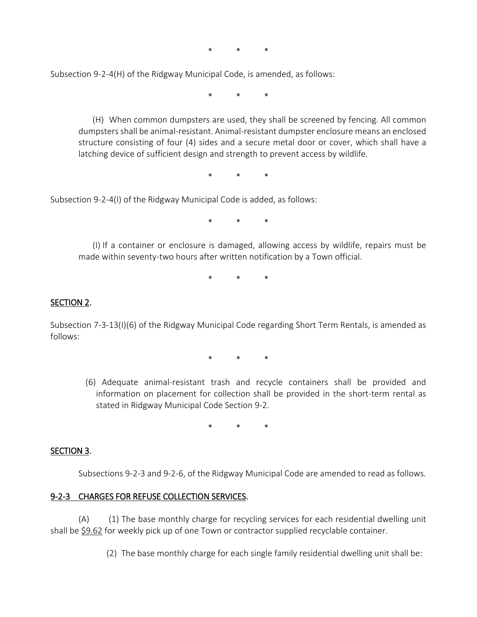\* \* \*

Subsection 9-2-4(H) of the Ridgway Municipal Code, is amended, as follows:

\* \* \*

(H) When common dumpsters are used, they shall be screened by fencing. All common dumpsters shall be animal-resistant. Animal-resistant dumpster enclosure means an enclosed structure consisting of four (4) sides and a secure metal door or cover, which shall have a latching device of sufficient design and strength to prevent access by wildlife.

\* \* \*

Subsection 9-2-4(I) of the Ridgway Municipal Code is added, as follows:

\* \* \*

(I) If a container or enclosure is damaged, allowing access by wildlife, repairs must be made within seventy-two hours after written notification by a Town official.

\* \* \*

#### SECTION 2.

Subsection 7-3-13(I)(6) of the Ridgway Municipal Code regarding Short Term Rentals, is amended as follows:

\* \* \*

(6) Adequate animal-resistant trash and recycle containers shall be provided and information on placement for collection shall be provided in the short-term rental as stated in Ridgway Municipal Code Section 9-2.

\* \* \*

#### SECTION 3.

Subsections 9-2-3 and 9-2-6, of the Ridgway Municipal Code are amended to read as follows.

#### 9-2-3 CHARGES FOR REFUSE COLLECTION SERVICES.

(A) (1) The base monthly charge for recycling services for each residential dwelling unit shall be \$9.62 for weekly pick up of one Town or contractor supplied recyclable container.

(2) The base monthly charge for each single family residential dwelling unit shall be: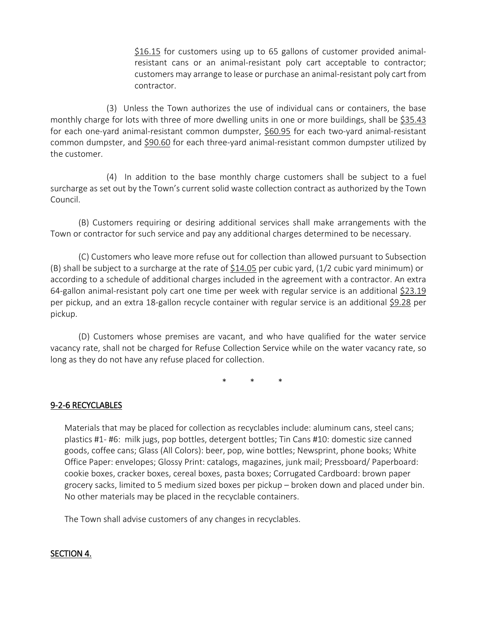\$16.15 for customers using up to 65 gallons of customer provided animalresistant cans or an animal-resistant poly cart acceptable to contractor; customers may arrange to lease or purchase an animal-resistant poly cart from contractor.

(3) Unless the Town authorizes the use of individual cans or containers, the base monthly charge for lots with three of more dwelling units in one or more buildings, shall be \$35.43 for each one-yard animal-resistant common dumpster, \$60.95 for each two-yard animal-resistant common dumpster, and \$90.60 for each three-yard animal-resistant common dumpster utilized by the customer.

(4) In addition to the base monthly charge customers shall be subject to a fuel surcharge as set out by the Town's current solid waste collection contract as authorized by the Town Council.

(B) Customers requiring or desiring additional services shall make arrangements with the Town or contractor for such service and pay any additional charges determined to be necessary.

(C) Customers who leave more refuse out for collection than allowed pursuant to Subsection (B) shall be subject to a surcharge at the rate of \$14.05 per cubic yard, (1/2 cubic yard minimum) or according to a schedule of additional charges included in the agreement with a contractor. An extra 64-gallon animal-resistant poly cart one time per week with regular service is an additional \$23.19 per pickup, and an extra 18-gallon recycle container with regular service is an additional \$9.28 per pickup.

(D) Customers whose premises are vacant, and who have qualified for the water service vacancy rate, shall not be charged for Refuse Collection Service while on the water vacancy rate, so long as they do not have any refuse placed for collection.

\* \* \*

## 9-2-6 RECYCLABLES

Materials that may be placed for collection as recyclables include: aluminum cans, steel cans; plastics #1- #6: milk jugs, pop bottles, detergent bottles; Tin Cans #10: domestic size canned goods, coffee cans; Glass (All Colors): beer, pop, wine bottles; Newsprint, phone books; White Office Paper: envelopes; Glossy Print: catalogs, magazines, junk mail; Pressboard/ Paperboard: cookie boxes, cracker boxes, cereal boxes, pasta boxes; Corrugated Cardboard: brown paper grocery sacks, limited to 5 medium sized boxes per pickup – broken down and placed under bin. No other materials may be placed in the recyclable containers.

The Town shall advise customers of any changes in recyclables.

### SECTION 4.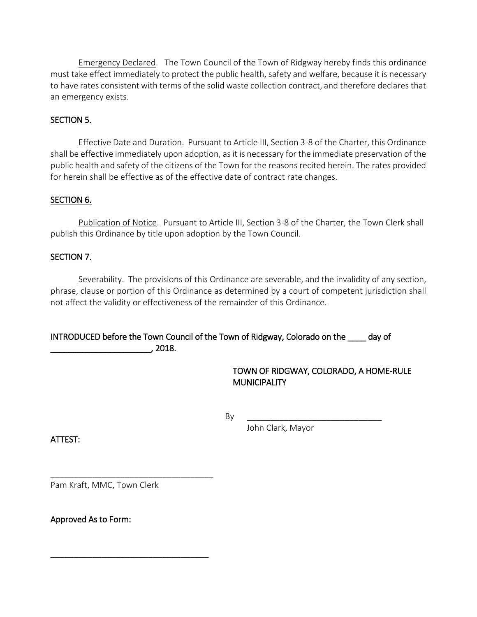Emergency Declared. The Town Council of the Town of Ridgway hereby finds this ordinance must take effect immediately to protect the public health, safety and welfare, because it is necessary to have rates consistent with terms of the solid waste collection contract, and therefore declares that an emergency exists.

## SECTION 5.

Effective Date and Duration. Pursuant to Article III, Section 3-8 of the Charter, this Ordinance shall be effective immediately upon adoption, as it is necessary for the immediate preservation of the public health and safety of the citizens of the Town for the reasons recited herein. The rates provided for herein shall be effective as of the effective date of contract rate changes.

### SECTION 6.

Publication of Notice. Pursuant to Article III, Section 3-8 of the Charter, the Town Clerk shall publish this Ordinance by title upon adoption by the Town Council.

### SECTION 7.

Severability. The provisions of this Ordinance are severable, and the invalidity of any section, phrase, clause or portion of this Ordinance as determined by a court of competent jurisdiction shall not affect the validity or effectiveness of the remainder of this Ordinance.

## INTRODUCED before the Town Council of the Town of Ridgway, Colorado on the \_\_\_\_ day of \_\_\_\_\_\_\_\_\_\_\_\_\_\_\_\_\_\_\_\_\_\_, 2018.

TOWN OF RIDGWAY, COLORADO, A HOME-RULE **MUNICIPALITY** 

By \_\_\_\_\_\_\_\_\_\_\_\_\_\_\_\_\_\_\_\_\_\_\_\_\_\_\_\_\_

John Clark, Mayor

ATTEST:

Pam Kraft, MMC, Town Clerk

\_\_\_\_\_\_\_\_\_\_\_\_\_\_\_\_\_\_\_\_\_\_\_\_\_\_\_\_\_\_\_\_\_\_\_

\_\_\_\_\_\_\_\_\_\_\_\_\_\_\_\_\_\_\_\_\_\_\_\_\_\_\_\_\_\_\_\_\_\_

Approved As to Form: